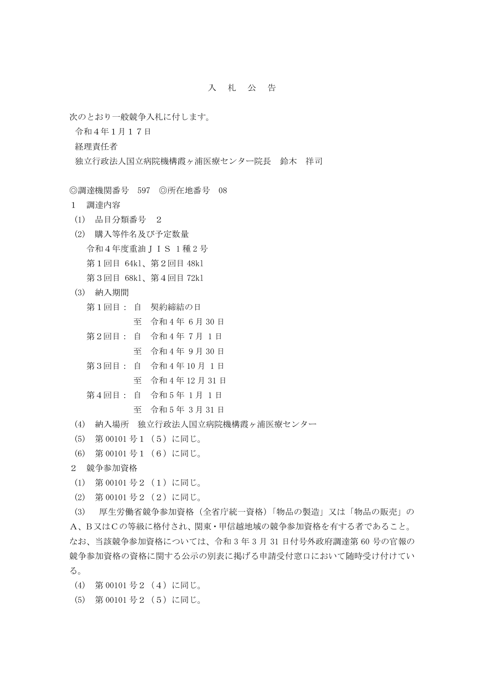## 入札公 告

次のとおり一般競争入札に付します。

令和4年1月17日

経理責任者

- 独立行政法人国立病院機構霞ヶ浦医療センター院長 鈴木 祥司
- ◎調達機関番号 597 ◎所在地番号 08
- 1 調達内容
- (1) 品目分類番号 2
- (2) 購入等件名及び予定数量

令和4年度重油JIS 1 種 2 号

- 第1回目 64kl、第2回目 48kl
- 第3回目 68kl、第4回目 72kl
- (3) 納入期間

|  | 第1回目: 自 契約締結の日    |
|--|-------------------|
|  | 至 令和4年 6月30日      |
|  | 第2回目: 自 令和4年7月1日  |
|  | 至 令和4年9月30日       |
|  | 第3回目: 自 令和4年10月1日 |
|  | 至 令和4年12月31日      |

- 第4回目: 自 令和 5 年 1 月 1 日
	- 至 令和 5 年 3 月 31 日
- (4) 納入場所 独立行政法人国立病院機構霞ヶ浦医療センター
- (5) 第 00101 号1(5)に同じ。
- (6) 第 00101 号1(6)に同じ。
- 2 競争参加資格
- (1) 第 00101 号2(1)に同じ。
- (2) 第 00101 号2(2)に同じ。

(3) 厚生労働省競争参加資格(全省庁統一資格)「物品の製造」又は「物品の販売」の A、B又はCの等級に格付され、関東・甲信越地域の競争参加資格を有する者であること。 なお、当該競争参加資格については、令和 3 年 3 月 31 日付号外政府調達第 60 号の官報の 競争参加資格の資格に関する公示の別表に掲げる申請受付窓口において随時受け付けてい る。

(4) 第 00101 号2(4)に同じ。

(5) 第 00101 号2(5)に同じ。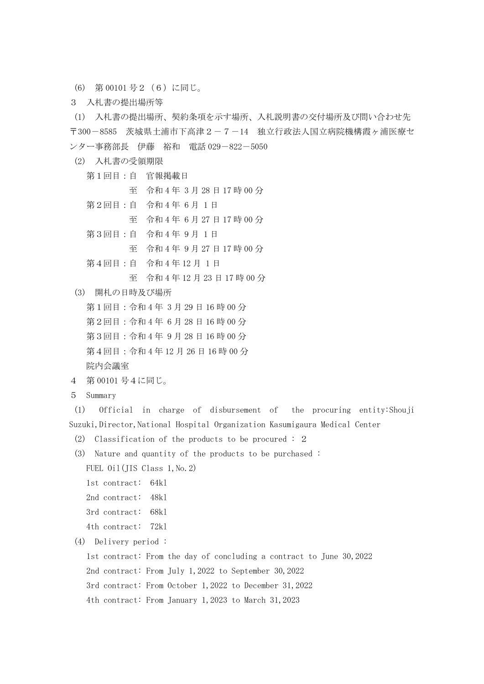- (6) 第 00101 号2(6)に同じ。
- 3 入札書の提出場所等

(1) 入札書の提出場所、契約条項を示す場所、入札説明書の交付場所及び問い合わせ先 〒300-8585 茨城県土浦市下高津2-7-14 独立行政法人国立病院機構霞ヶ浦医療セ ンター事務部長 伊藤 裕和 電話 029-822-5050

- (2) 入札書の受領期限
	- 第1回目:自 官報掲載日 至 令和 4 年 3 月 28 日 17 時 00 分 第2回目:自 令和4年6月1日 至 令和 4 年 6 月 27 日 17 時 00 分 第3回目:自 令和4年9月1日 至 令和 4 年 9 月 27 日 17 時 00 分 第4回目:自 令和 4 年 12 月 1 日 至 令和 4 年 12 月 23 日 17 時 00 分
- (3) 開札の日時及び場所

 第1回目:令和 4 年 3 月 29 日 16 時 00 分 第2回目:令和 4 年 6 月 28 日 16 時 00 分 第3回目:令和 4 年 9 月 28 日 16 時 00 分 第4回目:令和 4 年 12 月 26 日 16 時 00 分 院内会議室

- 4 第 00101 号4に同じ。
- 5 Summary

(1) Official in charge of disbursement of the procuring entity:Shouji Suzuki, Director, National Hospital Organization Kasumigaura Medical Center

- (2) Classification of the products to be procured : 2
- (3) Nature and quantity of the products to be purchased :

```
FUEL 0il(JIS Class 1, No. 2)
```

```
 1st contract: 64kl
```

```
 2nd contract: 48kl
```

```
 3rd contract: 68kl
```

```
 4th contract: 72kl
```
(4) Delivery period :

1st contract: From the day of concluding a contract to June 30,2022

2nd contract: From July 1,2022 to September 30,2022

3rd contract: From October 1,2022 to December 31,2022

4th contract: From January 1,2023 to March 31,2023